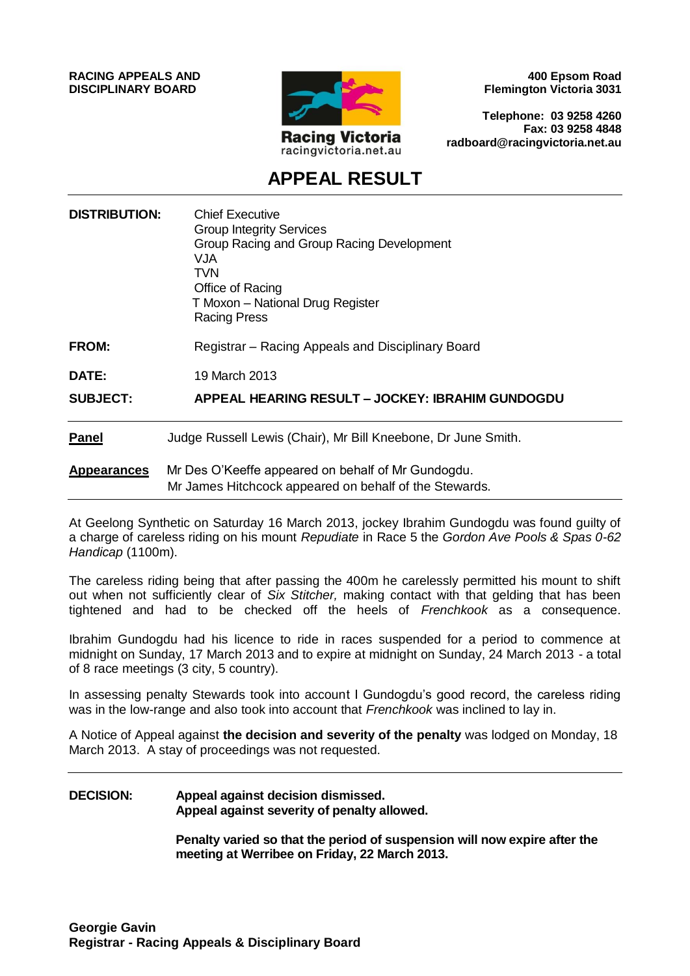**RACING APPEALS AND DISCIPLINARY BOARD**



**400 Epsom Road Flemington Victoria 3031**

**Telephone: 03 9258 4260 Fax: 03 9258 4848 radboard@racingvictoria.net.au**

# **APPEAL RESULT**

| <b>DISTRIBUTION:</b> | <b>Chief Executive</b><br><b>Group Integrity Services</b><br>Group Racing and Group Racing Development<br><b>VJA</b><br>TVN.<br>Office of Racing<br>T Moxon - National Drug Register<br><b>Racing Press</b> |
|----------------------|-------------------------------------------------------------------------------------------------------------------------------------------------------------------------------------------------------------|
| <b>FROM:</b>         | Registrar – Racing Appeals and Disciplinary Board                                                                                                                                                           |
| DATE:                | 19 March 2013                                                                                                                                                                                               |
| <b>SUBJECT:</b>      | APPEAL HEARING RESULT - JOCKEY: IBRAHIM GUNDOGDU                                                                                                                                                            |
| <b>Panel</b>         | Judge Russell Lewis (Chair), Mr Bill Kneebone, Dr June Smith.                                                                                                                                               |
| <b>Appearances</b>   | Mr Des O'Keeffe appeared on behalf of Mr Gundogdu.<br>Mr James Hitchcock appeared on behalf of the Stewards.                                                                                                |

At Geelong Synthetic on Saturday 16 March 2013, jockey Ibrahim Gundogdu was found guilty of a charge of careless riding on his mount *Repudiate* in Race 5 the *Gordon Ave Pools & Spas 0-62 Handicap* (1100m).

The careless riding being that after passing the 400m he carelessly permitted his mount to shift out when not sufficiently clear of *Six Stitcher,* making contact with that gelding that has been tightened and had to be checked off the heels of *Frenchkook* as a consequence.

Ibrahim Gundogdu had his licence to ride in races suspended for a period to commence at midnight on Sunday, 17 March 2013 and to expire at midnight on Sunday, 24 March 2013 - a total of 8 race meetings (3 city, 5 country).

In assessing penalty Stewards took into account I Gundogdu's good record, the careless riding was in the low-range and also took into account that *Frenchkook* was inclined to lay in.

A Notice of Appeal against **the decision and severity of the penalty** was lodged on Monday, 18 March 2013. A stay of proceedings was not requested.

#### **DECISION: Appeal against decision dismissed. Appeal against severity of penalty allowed.**

**Penalty varied so that the period of suspension will now expire after the meeting at Werribee on Friday, 22 March 2013.**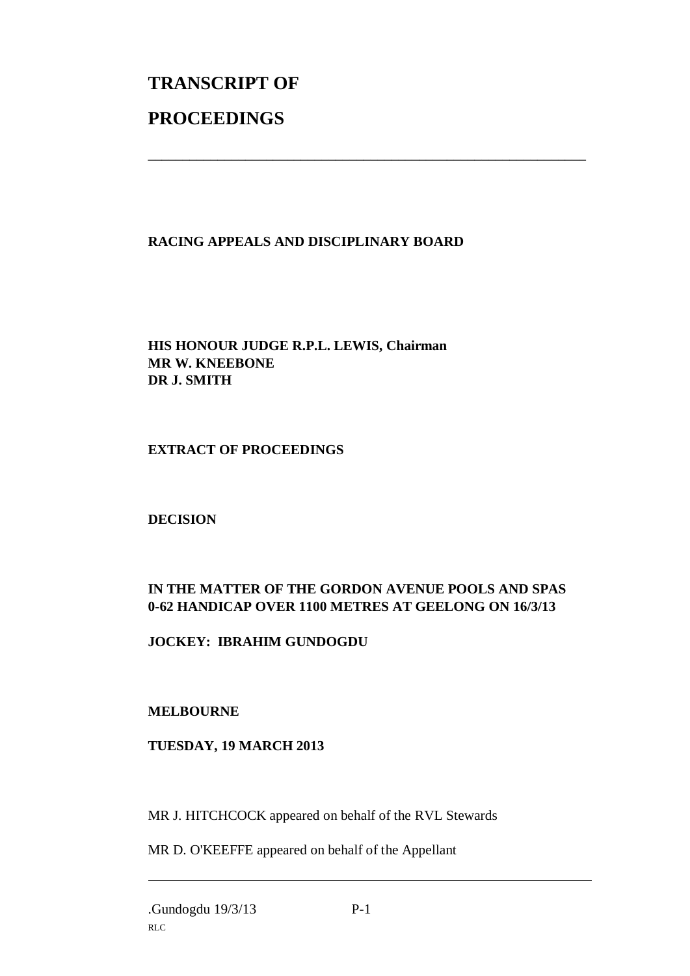# **TRANSCRIPT OF PROCEEDINGS**

### **RACING APPEALS AND DISCIPLINARY BOARD**

\_\_\_\_\_\_\_\_\_\_\_\_\_\_\_\_\_\_\_\_\_\_\_\_\_\_\_\_\_\_\_\_\_\_\_\_\_\_\_\_\_\_\_\_\_\_\_\_\_\_\_\_\_\_\_\_\_\_\_\_\_\_\_

**HIS HONOUR JUDGE R.P.L. LEWIS, Chairman MR W. KNEEBONE DR J. SMITH**

#### **EXTRACT OF PROCEEDINGS**

**DECISION**

## **IN THE MATTER OF THE GORDON AVENUE POOLS AND SPAS 0-62 HANDICAP OVER 1100 METRES AT GEELONG ON 16/3/13**

**JOCKEY: IBRAHIM GUNDOGDU**

#### **MELBOURNE**

#### **TUESDAY, 19 MARCH 2013**

MR J. HITCHCOCK appeared on behalf of the RVL Stewards

MR D. O'KEEFFE appeared on behalf of the Appellant